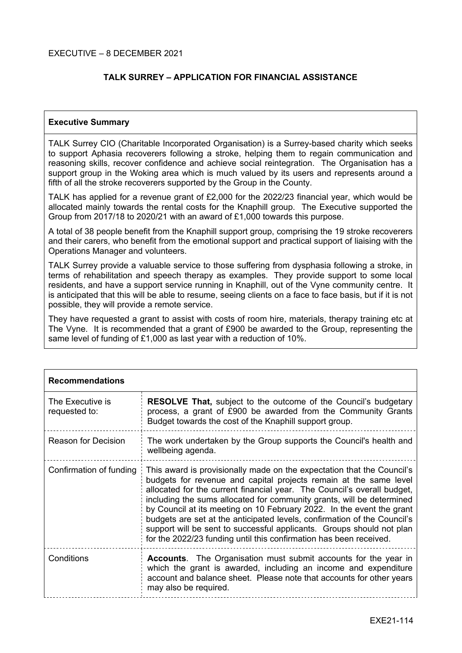EXECUTIVE – 8 DECEMBER 2021

# **TALK SURREY – APPLICATION FOR FINANCIAL ASSISTANCE**

## **Executive Summary**

TALK Surrey CIO (Charitable Incorporated Organisation) is a Surrey-based charity which seeks to support Aphasia recoverers following a stroke, helping them to regain communication and reasoning skills, recover confidence and achieve social reintegration. The Organisation has a support group in the Woking area which is much valued by its users and represents around a fifth of all the stroke recoverers supported by the Group in the County.

TALK has applied for a revenue grant of £2,000 for the 2022/23 financial year, which would be allocated mainly towards the rental costs for the Knaphill group. The Executive supported the Group from 2017/18 to 2020/21 with an award of £1,000 towards this purpose.

A total of 38 people benefit from the Knaphill support group, comprising the 19 stroke recoverers and their carers, who benefit from the emotional support and practical support of liaising with the Operations Manager and volunteers.

TALK Surrey provide a valuable service to those suffering from dysphasia following a stroke, in terms of rehabilitation and speech therapy as examples. They provide support to some local residents, and have a support service running in Knaphill, out of the Vyne community centre. It is anticipated that this will be able to resume, seeing clients on a face to face basis, but if it is not possible, they will provide a remote service.

They have requested a grant to assist with costs of room hire, materials, therapy training etc at The Vyne. It is recommended that a grant of £900 be awarded to the Group, representing the same level of funding of £1,000 as last year with a reduction of 10%.

| <b>Recommendations</b>            |                                                                                                                                                                                                                                                                                                                                                                                                                                                                                                                                                                                                     |  |  |  |
|-----------------------------------|-----------------------------------------------------------------------------------------------------------------------------------------------------------------------------------------------------------------------------------------------------------------------------------------------------------------------------------------------------------------------------------------------------------------------------------------------------------------------------------------------------------------------------------------------------------------------------------------------------|--|--|--|
| The Executive is<br>requested to: | <b>RESOLVE That, subject to the outcome of the Council's budgetary</b><br>process, a grant of £900 be awarded from the Community Grants<br>Budget towards the cost of the Knaphill support group.                                                                                                                                                                                                                                                                                                                                                                                                   |  |  |  |
| <b>Reason for Decision</b>        | The work undertaken by the Group supports the Council's health and<br>wellbeing agenda.                                                                                                                                                                                                                                                                                                                                                                                                                                                                                                             |  |  |  |
| Confirmation of funding           | This award is provisionally made on the expectation that the Council's<br>budgets for revenue and capital projects remain at the same level<br>allocated for the current financial year. The Council's overall budget,<br>including the sums allocated for community grants, will be determined<br>by Council at its meeting on 10 February 2022. In the event the grant<br>budgets are set at the anticipated levels, confirmation of the Council's<br>support will be sent to successful applicants. Groups should not plan<br>for the 2022/23 funding until this confirmation has been received. |  |  |  |
| Conditions                        | <b>Accounts.</b> The Organisation must submit accounts for the year in<br>which the grant is awarded, including an income and expenditure<br>account and balance sheet. Please note that accounts for other years<br>may also be required.                                                                                                                                                                                                                                                                                                                                                          |  |  |  |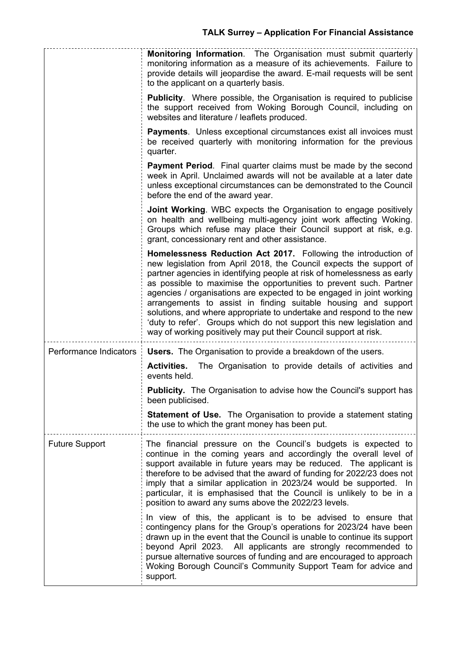|                        | Monitoring Information. The Organisation must submit quarterly<br>monitoring information as a measure of its achievements. Failure to<br>provide details will jeopardise the award. E-mail requests will be sent<br>to the applicant on a quarterly basis.                                                                                                                                                                                                                                                                                                                                                                                            |  |
|------------------------|-------------------------------------------------------------------------------------------------------------------------------------------------------------------------------------------------------------------------------------------------------------------------------------------------------------------------------------------------------------------------------------------------------------------------------------------------------------------------------------------------------------------------------------------------------------------------------------------------------------------------------------------------------|--|
|                        | <b>Publicity.</b> Where possible, the Organisation is required to publicise<br>the support received from Woking Borough Council, including on<br>websites and literature / leaflets produced.                                                                                                                                                                                                                                                                                                                                                                                                                                                         |  |
|                        | Payments. Unless exceptional circumstances exist all invoices must<br>be received quarterly with monitoring information for the previous<br>quarter.                                                                                                                                                                                                                                                                                                                                                                                                                                                                                                  |  |
|                        | <b>Payment Period.</b> Final quarter claims must be made by the second<br>week in April. Unclaimed awards will not be available at a later date<br>unless exceptional circumstances can be demonstrated to the Council<br>before the end of the award year.                                                                                                                                                                                                                                                                                                                                                                                           |  |
|                        | <b>Joint Working.</b> WBC expects the Organisation to engage positively<br>on health and wellbeing multi-agency joint work affecting Woking.<br>Groups which refuse may place their Council support at risk, e.g.<br>grant, concessionary rent and other assistance.                                                                                                                                                                                                                                                                                                                                                                                  |  |
|                        | Homelessness Reduction Act 2017. Following the introduction of<br>new legislation from April 2018, the Council expects the support of<br>partner agencies in identifying people at risk of homelessness as early<br>as possible to maximise the opportunities to prevent such. Partner<br>agencies / organisations are expected to be engaged in joint working<br>arrangements to assist in finding suitable housing and support<br>solutions, and where appropriate to undertake and respond to the new<br>'duty to refer'. Groups which do not support this new legislation and<br>way of working positively may put their Council support at risk. |  |
| Performance Indicators | <b>Users.</b> The Organisation to provide a breakdown of the users.<br>The Organisation to provide details of activities and<br><b>Activities.</b><br>events held.                                                                                                                                                                                                                                                                                                                                                                                                                                                                                    |  |
|                        | Publicity. The Organisation to advise how the Council's support has<br>been publicised.                                                                                                                                                                                                                                                                                                                                                                                                                                                                                                                                                               |  |
|                        | <b>Statement of Use.</b> The Organisation to provide a statement stating<br>the use to which the grant money has been put.                                                                                                                                                                                                                                                                                                                                                                                                                                                                                                                            |  |
| <b>Future Support</b>  | The financial pressure on the Council's budgets is expected to<br>continue in the coming years and accordingly the overall level of<br>support available in future years may be reduced. The applicant is<br>therefore to be advised that the award of funding for 2022/23 does not<br>imply that a similar application in 2023/24 would be supported. In<br>particular, it is emphasised that the Council is unlikely to be in a<br>position to award any sums above the 2022/23 levels.                                                                                                                                                             |  |
|                        | In view of this, the applicant is to be advised to ensure that<br>contingency plans for the Group's operations for 2023/24 have been<br>drawn up in the event that the Council is unable to continue its support<br>beyond April 2023. All applicants are strongly recommended to<br>pursue alternative sources of funding and are encouraged to approach<br>Woking Borough Council's Community Support Team for advice and<br>support.                                                                                                                                                                                                               |  |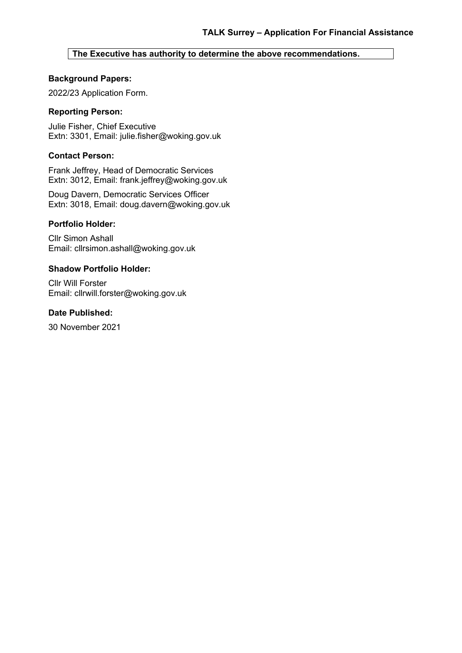## **The Executive has authority to determine the above recommendations.**

## **Background Papers:**

2022/23 Application Form.

## **Reporting Person:**

Julie Fisher, Chief Executive Extn: 3301, Email: julie.fisher@woking.gov.uk

## **Contact Person:**

Frank Jeffrey, Head of Democratic Services Extn: 3012, Email: frank.jeffrey@woking.gov.uk

Doug Davern, Democratic Services Officer Extn: 3018, Email: doug.davern@woking.gov.uk

#### **Portfolio Holder:**

Cllr Simon Ashall Email: cllrsimon.ashall@woking.gov.uk

#### **Shadow Portfolio Holder:**

Cllr Will Forster Email: cllrwill.forster@woking.gov.uk

## **Date Published:**

30 November 2021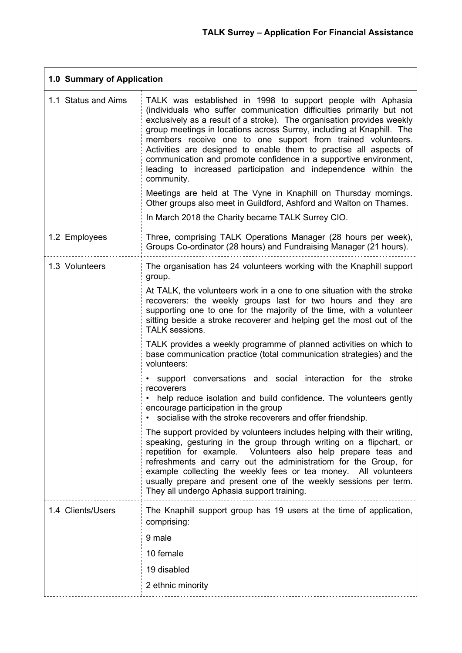| 1.0 Summary of Application |                                                                                                                                                                                                                                                                                                                                                                                                                                                                                                                                                                                                                                                                                                                                                                                                                                                                                                                                                                                                                                                                                                                                                                                                                                                                                                 |  |  |  |
|----------------------------|-------------------------------------------------------------------------------------------------------------------------------------------------------------------------------------------------------------------------------------------------------------------------------------------------------------------------------------------------------------------------------------------------------------------------------------------------------------------------------------------------------------------------------------------------------------------------------------------------------------------------------------------------------------------------------------------------------------------------------------------------------------------------------------------------------------------------------------------------------------------------------------------------------------------------------------------------------------------------------------------------------------------------------------------------------------------------------------------------------------------------------------------------------------------------------------------------------------------------------------------------------------------------------------------------|--|--|--|
| 1.1 Status and Aims        | TALK was established in 1998 to support people with Aphasia<br>(individuals who suffer communication difficulties primarily but not<br>exclusively as a result of a stroke). The organisation provides weekly<br>group meetings in locations across Surrey, including at Knaphill. The<br>members receive one to one support from trained volunteers.<br>Activities are designed to enable them to practise all aspects of<br>communication and promote confidence in a supportive environment,<br>leading to increased participation and independence within the<br>community.<br>Meetings are held at The Vyne in Knaphill on Thursday mornings.<br>Other groups also meet in Guildford, Ashford and Walton on Thames.                                                                                                                                                                                                                                                                                                                                                                                                                                                                                                                                                                        |  |  |  |
|                            | In March 2018 the Charity became TALK Surrey CIO.                                                                                                                                                                                                                                                                                                                                                                                                                                                                                                                                                                                                                                                                                                                                                                                                                                                                                                                                                                                                                                                                                                                                                                                                                                               |  |  |  |
| 1.2 Employees              | Three, comprising TALK Operations Manager (28 hours per week),<br>Groups Co-ordinator (28 hours) and Fundraising Manager (21 hours).                                                                                                                                                                                                                                                                                                                                                                                                                                                                                                                                                                                                                                                                                                                                                                                                                                                                                                                                                                                                                                                                                                                                                            |  |  |  |
| 1.3 Volunteers             | The organisation has 24 volunteers working with the Knaphill support<br>group.<br>At TALK, the volunteers work in a one to one situation with the stroke<br>recoverers: the weekly groups last for two hours and they are<br>supporting one to one for the majority of the time, with a volunteer<br>sitting beside a stroke recoverer and helping get the most out of the<br>TALK sessions.<br>TALK provides a weekly programme of planned activities on which to<br>base communication practice (total communication strategies) and the<br>volunteers:<br>• support conversations and social interaction for the stroke<br>recoverers<br>help reduce isolation and build confidence. The volunteers gently<br>encourage participation in the group<br>socialise with the stroke recoverers and offer friendship.<br>The support provided by volunteers includes helping with their writing,<br>speaking, gesturing in the group through writing on a flipchart, or<br>repetition for example. Volunteers also help prepare teas and<br>refreshments and carry out the administratiom for the Group, for<br>example collecting the weekly fees or tea money. All volunteers<br>usually prepare and present one of the weekly sessions per term.<br>They all undergo Aphasia support training. |  |  |  |
| 1.4 Clients/Users          | The Knaphill support group has 19 users at the time of application,<br>comprising:<br>9 male<br>10 female<br>19 disabled<br>2 ethnic minority                                                                                                                                                                                                                                                                                                                                                                                                                                                                                                                                                                                                                                                                                                                                                                                                                                                                                                                                                                                                                                                                                                                                                   |  |  |  |
|                            |                                                                                                                                                                                                                                                                                                                                                                                                                                                                                                                                                                                                                                                                                                                                                                                                                                                                                                                                                                                                                                                                                                                                                                                                                                                                                                 |  |  |  |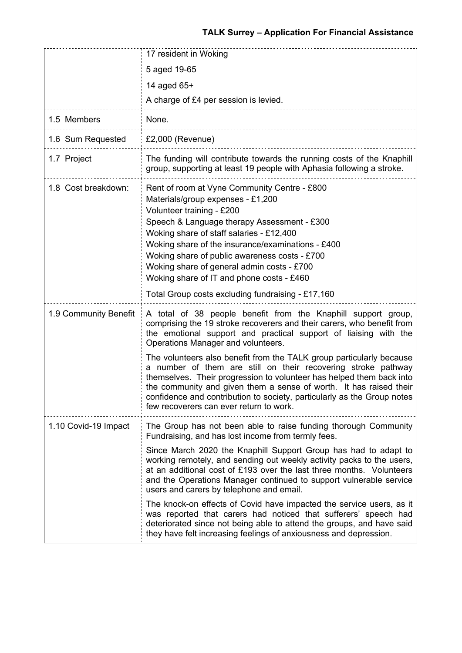|                       | 17 resident in Woking                                                                                                                                                                                                                                                                                                                                                                                      |  |
|-----------------------|------------------------------------------------------------------------------------------------------------------------------------------------------------------------------------------------------------------------------------------------------------------------------------------------------------------------------------------------------------------------------------------------------------|--|
|                       | 5 aged 19-65                                                                                                                                                                                                                                                                                                                                                                                               |  |
|                       | 14 aged 65+                                                                                                                                                                                                                                                                                                                                                                                                |  |
|                       | A charge of £4 per session is levied.                                                                                                                                                                                                                                                                                                                                                                      |  |
| 1.5 Members           | None.                                                                                                                                                                                                                                                                                                                                                                                                      |  |
| 1.6 Sum Requested     | £2,000 (Revenue)                                                                                                                                                                                                                                                                                                                                                                                           |  |
| 1.7 Project           | The funding will contribute towards the running costs of the Knaphill<br>group, supporting at least 19 people with Aphasia following a stroke.                                                                                                                                                                                                                                                             |  |
| 1.8 Cost breakdown:   | Rent of room at Vyne Community Centre - £800<br>Materials/group expenses - £1,200<br>Volunteer training - £200<br>Speech & Language therapy Assessment - £300<br>Woking share of staff salaries - £12,400<br>Woking share of the insurance/examinations - £400<br>Woking share of public awareness costs - £700<br>Woking share of general admin costs - £700<br>Woking share of IT and phone costs - £460 |  |
|                       | Total Group costs excluding fundraising - £17,160                                                                                                                                                                                                                                                                                                                                                          |  |
| 1.9 Community Benefit | A total of 38 people benefit from the Knaphill support group,<br>comprising the 19 stroke recoverers and their carers, who benefit from<br>the emotional support and practical support of liaising with the<br>Operations Manager and volunteers.                                                                                                                                                          |  |
|                       | The volunteers also benefit from the TALK group particularly because<br>a number of them are still on their recovering stroke pathway<br>themselves. Their progression to volunteer has helped them back into<br>the community and given them a sense of worth. It has raised their<br>confidence and contribution to society, particularly as the Group notes<br>few recoverers can ever return to work.  |  |
| 1.10 Covid-19 Impact  | The Group has not been able to raise funding thorough Community<br>Fundraising, and has lost income from termly fees.                                                                                                                                                                                                                                                                                      |  |
|                       | Since March 2020 the Knaphill Support Group has had to adapt to<br>working remotely, and sending out weekly activity packs to the users,<br>at an additional cost of £193 over the last three months. Volunteers<br>and the Operations Manager continued to support vulnerable service<br>users and carers by telephone and email.                                                                         |  |
|                       | The knock-on effects of Covid have impacted the service users, as it<br>was reported that carers had noticed that sufferers' speech had<br>deteriorated since not being able to attend the groups, and have said<br>they have felt increasing feelings of anxiousness and depression.                                                                                                                      |  |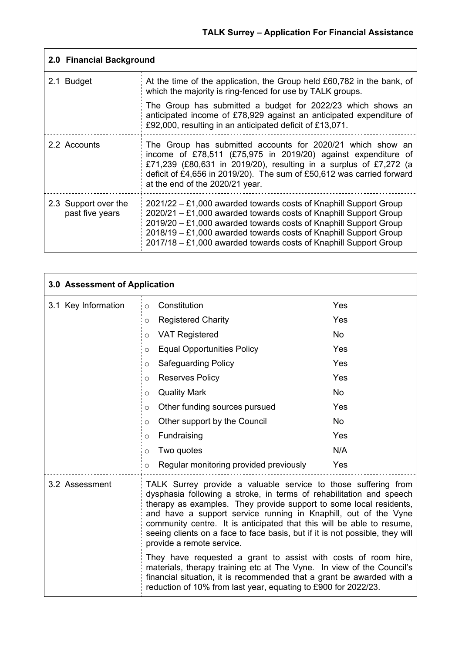| 2.0 Financial Background                |                                                                                                                                                                                                                                                                                                                                                      |  |  |
|-----------------------------------------|------------------------------------------------------------------------------------------------------------------------------------------------------------------------------------------------------------------------------------------------------------------------------------------------------------------------------------------------------|--|--|
| 2.1 Budget                              | At the time of the application, the Group held £60,782 in the bank, of<br>which the majority is ring-fenced for use by TALK groups.                                                                                                                                                                                                                  |  |  |
|                                         | The Group has submitted a budget for 2022/23 which shows an<br>anticipated income of £78,929 against an anticipated expenditure of<br>£92,000, resulting in an anticipated deficit of £13,071.                                                                                                                                                       |  |  |
| 2.2 Accounts                            | The Group has submitted accounts for 2020/21 which show an<br>income of £78,511 (£75,975 in 2019/20) against expenditure of<br>£71,239 (£80,631 in 2019/20), resulting in a surplus of £7,272 (a<br>deficit of £4,656 in 2019/20). The sum of £50,612 was carried forward<br>at the end of the 2020/21 year.                                         |  |  |
| 2.3 Support over the<br>past five years | $2021/22 - £1,000$ awarded towards costs of Knaphill Support Group<br>$2020/21 - £1,000$ awarded towards costs of Knaphill Support Group<br>2019/20 - £1,000 awarded towards costs of Knaphill Support Group<br>2018/19 - £1,000 awarded towards costs of Knaphill Support Group<br>2017/18 - £1,000 awarded towards costs of Knaphill Support Group |  |  |

| 3.0 Assessment of Application |                                                                                                                                                                                                                                                                                                                                                                                                                                                                      |           |  |  |
|-------------------------------|----------------------------------------------------------------------------------------------------------------------------------------------------------------------------------------------------------------------------------------------------------------------------------------------------------------------------------------------------------------------------------------------------------------------------------------------------------------------|-----------|--|--|
| 3.1 Key Information           | Constitution<br>$\circ$                                                                                                                                                                                                                                                                                                                                                                                                                                              | Yes       |  |  |
|                               | <b>Registered Charity</b><br>$\circ$                                                                                                                                                                                                                                                                                                                                                                                                                                 | Yes       |  |  |
|                               | <b>VAT Registered</b><br>$\circ$                                                                                                                                                                                                                                                                                                                                                                                                                                     | <b>No</b> |  |  |
|                               | <b>Equal Opportunities Policy</b><br>$\circ$                                                                                                                                                                                                                                                                                                                                                                                                                         | Yes       |  |  |
|                               | <b>Safeguarding Policy</b><br>$\circ$                                                                                                                                                                                                                                                                                                                                                                                                                                | Yes       |  |  |
|                               | <b>Reserves Policy</b><br>$\circ$                                                                                                                                                                                                                                                                                                                                                                                                                                    | Yes       |  |  |
|                               | <b>Quality Mark</b><br>$\circ$                                                                                                                                                                                                                                                                                                                                                                                                                                       | <b>No</b> |  |  |
|                               | Other funding sources pursued<br>O                                                                                                                                                                                                                                                                                                                                                                                                                                   | Yes       |  |  |
|                               | Other support by the Council<br>O                                                                                                                                                                                                                                                                                                                                                                                                                                    | <b>No</b> |  |  |
|                               | Fundraising<br>$\circ$                                                                                                                                                                                                                                                                                                                                                                                                                                               | Yes       |  |  |
|                               | Two quotes<br>O                                                                                                                                                                                                                                                                                                                                                                                                                                                      | N/A       |  |  |
|                               | Regular monitoring provided previously<br>O                                                                                                                                                                                                                                                                                                                                                                                                                          | Yes       |  |  |
| 3.2 Assessment                | TALK Surrey provide a valuable service to those suffering from<br>dysphasia following a stroke, in terms of rehabilitation and speech<br>therapy as examples. They provide support to some local residents,<br>and have a support service running in Knaphill, out of the Vyne<br>community centre. It is anticipated that this will be able to resume,<br>seeing clients on a face to face basis, but if it is not possible, they will<br>provide a remote service. |           |  |  |
|                               | They have requested a grant to assist with costs of room hire,<br>materials, therapy training etc at The Vyne. In view of the Council's<br>financial situation, it is recommended that a grant be awarded with a<br>reduction of 10% from last year, equating to £900 for 2022/23.                                                                                                                                                                                   |           |  |  |